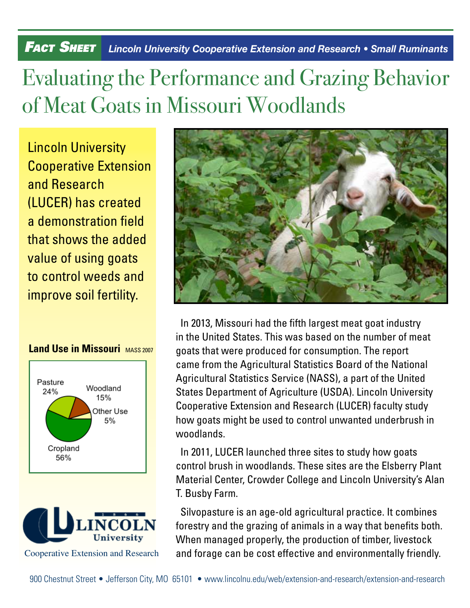## *Fact Sheet Lincoln University Cooperative Extension and Research • Small Ruminants*

## Evaluating the Performance and Grazing Behavior of Meat Goats in Missouri Woodlands

Lincoln University Cooperative Extension and Research (LUCER) has created a demonstration field that shows the added value of using goats to control weeds and improve soil fertility.

## **Land Use in Missouri** MASS 2007







In 2013, Missouri had the fifth largest meat goat industry in the United States. This was based on the number of meat goats that were produced for consumption. The report came from the Agricultural Statistics Board of the National Agricultural Statistics Service (NASS), a part of the United States Department of Agriculture (USDA). Lincoln University Cooperative Extension and Research (LUCER) faculty study how goats might be used to control unwanted underbrush in woodlands.

In 2011, LUCER launched three sites to study how goats control brush in woodlands. These sites are the Elsberry Plant Material Center, Crowder College and Lincoln University's Alan T. Busby Farm.

Silvopasture is an age-old agricultural practice. It combines forestry and the grazing of animals in a way that benefits both. When managed properly, the production of timber, livestock and forage can be cost effective and environmentally friendly.